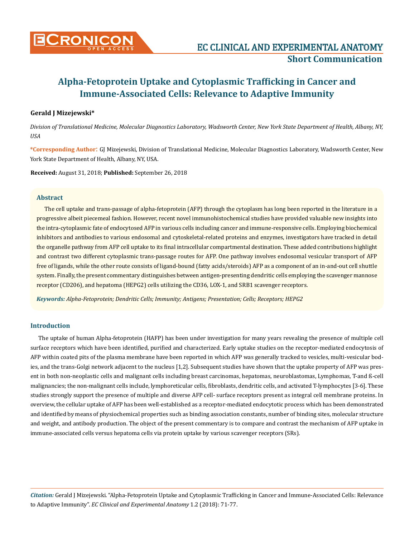

## **Gerald J Mizejewski\***

*Division of Translational Medicine, Molecular Diagnostics Laboratory, Wadsworth Center, New York State Department of Health, Albany, NY, USA*

**\*Corresponding Author**: GJ Mizejewski, Division of Translational Medicine, Molecular Diagnostics Laboratory, Wadsworth Center, New York State Department of Health, Albany, NY, USA.

**Received:** August 31, 2018; **Published:** September 26, 2018

## **Abstract**

The cell uptake and trans-passage of alpha-fetoprotein (AFP) through the cytoplasm has long been reported in the literature in a progressive albeit piecemeal fashion. However, recent novel immunohistochemical studies have provided valuable new insights into the intra-cytoplasmic fate of endocytosed AFP in various cells including cancer and immune-responsive cells. Employing biochemical inhibitors and antibodies to various endosomal and cytoskeletal-related proteins and enzymes, investigators have tracked in detail the organelle pathway from AFP cell uptake to its final intracellular compartmental destination. These added contributions highlight and contrast two different cytoplasmic trans-passage routes for AFP. One pathway involves endosomal vesicular transport of AFP free of ligands, while the other route consists of ligand-bound (fatty acids/steroids) AFP as a component of an in-and-out cell shuttle system. Finally, the present commentary distinguishes between antigen-presenting dendritic cells employing the scavenger mannose receptor (CD206), and hepatoma (HEPG2) cells utilizing the CD36, LOX-1, and SRB1 scavenger receptors.

*Keywords: Alpha-Fetoprotein; Dendritic Cells; Immunity; Antigens; Presentation; Cells; Receptors; HEPG2*

### **Introduction**

The uptake of human Alpha-fetoprotein (HAFP) has been under investigation for many years revealing the presence of multiple cell surface receptors which have been identified, purified and characterized. Early uptake studies on the receptor-mediated endocytosis of AFP within coated pits of the plasma membrane have been reported in which AFP was generally tracked to vesicles, multi-vesicular bodies, and the trans-Golgi network adjacent to the nucleus [1,2]. Subsequent studies have shown that the uptake property of AFP was present in both non-neoplastic cells and malignant cells including breast carcinomas, hepatomas, neuroblastomas, Lymphomas, T-and ß-cell malignancies; the non-malignant cells include, lymphoreticular cells, fibroblasts, dendritic cells, and activated T-lymphocytes [3-6]. These studies strongly support the presence of multiple and diverse AFP cell- surface receptors present as integral cell membrane proteins. In overview, the cellular uptake of AFP has been well-established as a receptor-mediated endocytotic process which has been demonstrated and identified by means of physiochemical properties such as binding association constants, number of binding sites, molecular structure and weight, and antibody production. The object of the present commentary is to compare and contrast the mechanism of AFP uptake in immune-associated cells versus hepatoma cells via protein uptake by various scavenger receptors (SRs).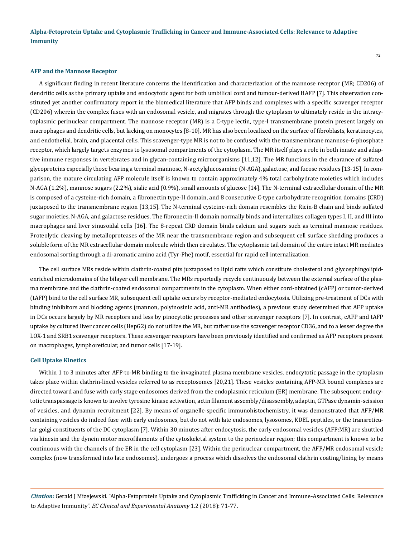#### **AFP and the Mannose Receptor**

A significant finding in recent literature concerns the identification and characterization of the mannose receptor (MR; CD206) of dendritic cells as the primary uptake and endocytotic agent for both umbilical cord and tumour-derived HAFP [7]. This observation constituted yet another confirmatory report in the biomedical literature that AFP binds and complexes with a specific scavenger receptor (CD206) wherein the complex fuses with an endosomal vesicle, and migrates through the cytoplasm to ultimately reside in the intracytoplasmic perinuclear compartment. The mannose receptor (MR) is a C-type lectin, type-I transmembrane protein present largely on macrophages and dendritic cells, but lacking on monocytes [8-10]. MR has also been localized on the surface of fibroblasts, keratinocytes, and endothelial, brain, and placental cells. This scavenger-type MR is not to be confused with the transmembrane mannose-6-phosphate receptor, which largely targets enzymes to lysosomal compartments of the cytoplasm. The MR itself plays a role in both innate and adaptive immune responses in vertebrates and in glycan-containing microorganisms [11,12]. The MR functions in the clearance of sulfated glycoproteins especially those bearing a terminal mannose, N-acetylglucosamine (N-AGA), galactose, and fucose residues [13-15]. In comparison, the mature circulating AFP molecule itself is known to contain approximately 4% total carbohydrate moieties which includes N-AGA (1.2%), mannose sugars (2.2%), sialic acid (0.9%), small amounts of glucose [14]. The N-terminal extracellular domain of the MR is composed of a cysteine-rich domain, a fibronectin type-II domain, and 8 consecutive C-type carbohydrate recognition domains (CRD) juxtaposed to the transmembrane region [13,15]. The N-terminal cysteine-rich domain resembles the Ricin-B chain and binds sulfated sugar moieties, N-AGA, and galactose residues. The fibronectin-II domain normally binds and internalizes collagen types I, II, and III into macrophages and liver sinusoidal cells [16]. The 8-repeat CRD domain binds calcium and sugars such as terminal mannose residues. Proteolytic cleaving by metalloproteases of the MR near the transmembrane region and subsequent cell surface shedding produces a soluble form of the MR extracellular domain molecule which then circulates. The cytoplasmic tail domain of the entire intact MR mediates endosomal sorting through a di-aromatic amino acid (Tyr-Phe) motif, essential for rapid cell internalization.

The cell surface MRs reside within clathrin-coated pits juxtaposed to lipid rafts which constitute cholesterol and glycosphingolipidenriched microdomains of the bilayer cell membrane. The MRs reportedly recycle continuously between the external surface of the plasma membrane and the clathrin-coated endosomal compartments in the cytoplasm. When either cord-obtained (cAFP) or tumor-derived (tAFP) bind to the cell surface MR, subsequent cell uptake occurs by receptor-mediated endocytosis. Utilizing pre-treatment of DCs with binding inhibitors and blocking agents (mannon, polyinosinic acid, anti-MR antibodies), a previous study determined that AFP uptake in DCs occurs largely by MR receptors and less by pinocytotic processes and other scavenger receptors [7]. In contrast, cAFP and tAFP uptake by cultured liver cancer cells (HepG2) do not utilize the MR, but rather use the scavenger receptor CD36, and to a lesser degree the LOX-1 and SRB1 scavenger receptors. These scavenger receptors have been previously identified and confirmed as AFP receptors present on macrophages, lymphoreticular, and tumor cells [17-19].

#### **Cell Uptake Kinetics**

Within 1 to 3 minutes after AFP-to-MR binding to the invaginated plasma membrane vesicles, endocytotic passage in the cytoplasm takes place within clathrin-lined vesicles referred to as receptosomes [20,21]. These vesicles containing AFP-MR bound complexes are directed toward and fuse with early stage endosomes derived from the endoplasmic reticulum (ER) membrane. The subsequent endocytotic transpassage is known to involve tyrosine kinase activation, actin filament assembly/disassembly, adaptin, GTPase dynamin-scission of vesicles, and dynamin recruitment [22]. By means of organelle-specific immunohistochemistry, it was demonstrated that AFP/MR containing vesicles do indeed fuse with early endosomes, but do not with late endosomes, lysosomes, KDEL peptides, or the transreticular golgi constituents of the DC cytoplasm [7]. Within 30 minutes after endocytosis, the early endosomal vesicles (AFP:MR) are shuttled via kinesin and the dynein motor microfilaments of the cytoskeletal system to the perinuclear region; this compartment is known to be continuous with the channels of the ER in the cell cytoplasm [23]. Within the perinuclear compartment, the AFP/MR endosomal vesicle complex (now transformed into late endosomes), undergoes a process which dissolves the endosomal clathrin coating/lining by means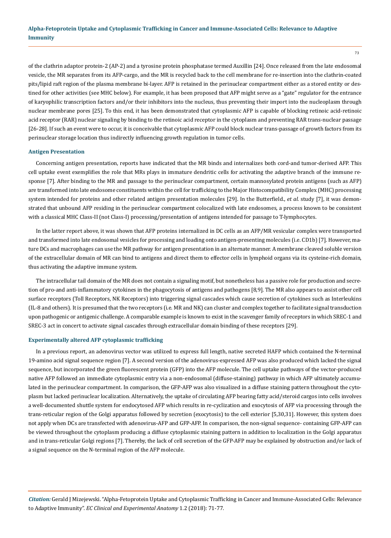of the clathrin adaptor protein-2 (AP-2) and a tyrosine protein phosphatase termed Auxillin [24]. Once released from the late endosomal vesicle, the MR separates from its AFP-cargo, and the MR is recycled back to the cell membrane for re-insertion into the clathrin-coated pits/lipid raft region of the plasma membrane bi-layer. AFP is retained in the perinuclear compartment either as a stored entity or destined for other activities (see MHC below). For example, it has been proposed that AFP might serve as a "gate" regulator for the entrance of karyophilic transcription factors and/or their inhibitors into the nucleus, thus preventing their import into the nucleoplasm through nuclear membrane pores [25]. To this end, it has been demonstrated that cytoplasmic AFP is capable of blocking retinoic acid-retinoic acid receptor (RAR) nuclear signaling by binding to the retinoic acid receptor in the cytoplasm and preventing RAR trans-nuclear passage [26-28]. If such an event were to occur, it is conceivable that cytoplasmic AFP could block nuclear trans-passage of growth factors from its perinuclear storage location thus indirectly influencing growth regulation in tumor cells.

#### **Antigen Presentation**

Concerning antigen presentation, reports have indicated that the MR binds and internalizes both cord-and tumor-derived AFP. This cell uptake event exemplifies the role that MRs plays in immature dendritic cells for activating the adaptive branch of the immune response [7]. After binding to the MR and passage to the perinuclear compartment, certain mannosylated protein antigens (such as AFP) are transformed into late endosome constituents within the cell for trafficking to the Major Histocompatibility Complex (MHC) processing system intended for proteins and other related antigen presentation molecules [29]. In the Butterfield., *et al.* study [7], it was demonstrated that unbound AFP residing in the perinuclear compartment colocalized with late endosomes, a process known to be consistent with a classical MHC Class-II (not Class-I) processing/presentation of antigens intended for passage to T-lymphocytes.

In the latter report above, it was shown that AFP proteins internalized in DC cells as an AFP/MR vesicular complex were transported and transformed into late endosomal vesicles for processing and loading onto antigen-presenting molecules (i.e. CD1b) [7]. However, mature DCs and macrophages can use the MR pathway for antigen presentation in an alternate manner. A membrane cleaved soluble version of the extracellular domain of MR can bind to antigens and direct them to effector cells in lymphoid organs via its cysteine-rich domain, thus activating the adaptive immune system.

The intracellular tail domain of the MR does not contain a signaling motif, but nonetheless has a passive role for production and secretion of pro-and anti-inflammatory cytokines in the phagocytosis of antigens and pathogens [8,9]. The MR also appears to assist other cell surface receptors (Toll Receptors, NK Receptors) into triggering signal cascades which cause secretion of cytokines such as Interleukins (IL-8 and others). It is presumed that the two receptors (i.e. MR and NK) can cluster and complex together to facilitate signal transduction upon pathogenic or antigenic challenge. A comparable example is known to exist in the scavenger family of receptors in which SREC-1 and SREC-3 act in concert to activate signal cascades through extracellular domain binding of these receptors [29].

#### **Experimentally altered AFP cytoplasmic trafficking**

In a previous report, an adenovirus vector was utilized to express full length, native secreted HAFP which contained the N-terminal 19-amino acid signal sequence region [7]. A second version of the adenovirus-expressed AFP was also produced which lacked the signal sequence, but incorporated the green fluorescent protein (GFP) into the AFP molecule. The cell uptake pathways of the vector-produced native AFP followed an immediate cytoplasmic entry via a non-endosomal (diffuse-staining) pathway in which AFP ultimately accumulated in the perinuclear compartment. In comparison, the GFP-AFP was also visualized in a diffuse staining pattern throughout the cytoplasm but lacked perinuclear localization. Alternatively, the uptake of circulating AFP bearing fatty acid/steroid cargos into cells involves a well-documented shuttle system for endocytosed AFP which results in re-cyclization and exocytosis of AFP via processing through the trans-reticular region of the Golgi apparatus followed by secretion (exocytosis) to the cell exterior [5,30,31]. However, this system does not apply when DCs are transfected with adenovirus-AFP and GFP-AFP. In comparison, the non-signal sequence- containing GFP-AFP can be viewed throughout the cytoplasm producing a diffuse cytoplasmic staining pattern in addition to localization in the Golgi apparatus and in trans-reticular Golgi regions [7]. Thereby, the lack of cell secretion of the GFP-AFP may be explained by obstruction and/or lack of a signal sequence on the N-terminal region of the AFP molecule.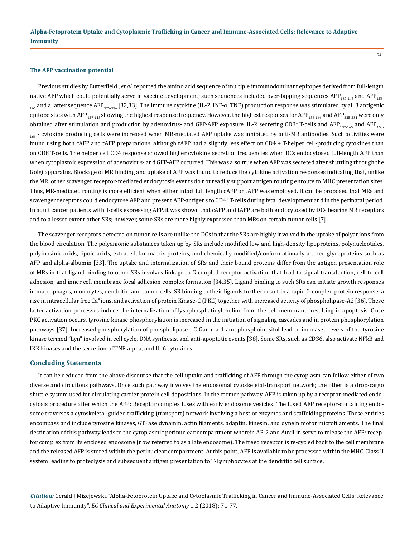#### **The AFP vaccination potential**

Previous studies by Butterfield., *et al.* reported the amino acid sequence of multiple immunodominant epitopes derived from full-length native AFP which could potentially serve in vaccine development; such sequences included over-lapping sequences AFP $_{137,145}$  and AFP $_{158}$  $_{166}$  and a latter sequence AFP<sub>325-334</sub> [32,33]. The immune cytokine (IL-2, INF-α, TNF) production response was stimulated by all 3 antigenic epitope sites with AFP<sub>137-145</sub> showing the highest response frequency. However, the highest responses for AFP<sub>158-166</sub> and AFP<sub>325-334</sub> were only obtained after stimulation and production by adenovirus- and GFP-AFP exposure. IL-2 secreting CD8\* T-cells and AFP<sub>137-145</sub> and AFP<sub>158-</sub> 166 - cytokine producing cells were increased when MR-mediated AFP uptake was inhibited by anti-MR antibodies. Such activities were found using both cAFP and tAFP preparations, although tAFP had a slightly less effect on CD4 + T-helper cell-producing cytokines than on CD8 T-cells. The helper cell CD4 response showed higher cytokine secretion frequencies when DCs endocytosed full-length AFP than when cytoplasmic expression of adenovirus- and GFP-AFP occurred. This was also true when AFP was secreted after shuttling through the Golgi apparatus. Blockage of MR binding and uptake of AFP was found to reduce the cytokine activation responses indicating that, unlike the MR, other scavenger receptor-mediated endocytosis events do not readily support antigen routing enroute to MHC presentation sites. Thus, MR-mediated routing is more efficient when either intact full length cAFP or tAFP was employed. It can be proposed that MRs and scavenger receptors could endocytose AFP and present AFP-antigens to CD4<sup>+</sup> T-cells during fetal development and in the perinatal period. In adult cancer patients with T-cells expressing AFP, it was shown that cAFP and tAFP are both endocytosed by DCs bearing MR receptors and to a lesser extent other SRs; however, some SRs are more highly expressed than MRs on certain tumor cells [7].

The scavenger receptors detected on tumor cells are unlike the DCs in that the SRs are highly involved in the uptake of polyanions from the blood circulation. The polyanionic substances taken up by SRs include modified low and high-density lipoproteins, polynucleotides, polyinosinic acids, lipoic acids, extracellular matrix proteins, and chemically modified/conformationally-altered glycoproteins such as AFP and alpha-albumin [33]. The uptake and internalization of SRs and their bound proteins differ from the antigen presentation role of MRs in that ligand binding to other SRs involves linkage to G-coupled receptor activation that lead to signal transduction, cell-to-cell adhesion, and inner cell membrane focal adhesion complex formation [34,35]. Ligand binding to such SRs can initiate growth responses in macrophages, monocytes, dendritic, and tumor cells. SR binding to their ligands further result in a rapid G-coupled protein response, a rise in intracellular free Ca# ions, and activation of protein Kinase-C (PKC) together with increased activity of phospholipase-A2 [36]. These latter activation processes induce the internalization of lysophosphatidylcholine from the cell membrane, resulting in apoptosis. Once PKC activation occurs, tyrosine kinase phosphorylation is increased in the initiation of signaling cascades and in protein phosphorylation pathways [37]. Increased phosphorylation of phospholipase - C Gamma-1 and phosphoinositol lead to increased levels of the tyrosine kinase termed "Lyn" involved in cell cycle, DNA synthesis, and anti-apoptotic events [38]. Some SRs, such as CD36, also activate NFkB and IKK kinases and the secretion of TNF-alpha, and IL-6 cytokines.

#### **Concluding Statements**

It can be deduced from the above discourse that the cell uptake and trafficking of AFP through the cytoplasm can follow either of two diverse and circuitous pathways. Once such pathway involves the endosomal cytoskeletal-transport network; the other is a drop-cargo shuttle system used for circulating carrier protein cell depositions. In the former pathway, AFP is taken up by a receptor-mediated endocytosis procedure after which the AFP: Receptor complex fuses with early endosome vesicles. The fused AFP receptor-containing endosome traverses a cytoskeletal-guided trafficking (transport) network involving a host of enzymes and scaffolding proteins. These entities encompass and include tyrosine kinases, GTPase dynamin, actin filaments, adaptin, kinesin, and dynein motor microfilaments. The final destination of this pathway leads to the cytoplasmic perinuclear compartment wherein AP-2 and Auxillin serve to release the AFP: receptor complex from its enclosed endosome (now referred to as a late endosome). The freed receptor is re-cycled back to the cell membrane and the released AFP is stored within the perinuclear compartment. At this point, AFP is available to be processed within the MHC-Class II system leading to proteolysis and subsequent antigen presentation to T-Lymphocytes at the dendritic cell surface.

*Citation:* Gerald J Mizejewski. "Alpha-Fetoprotein Uptake and Cytoplasmic Trafficking in Cancer and Immune-Associated Cells: Relevance to Adaptive Immunity". *EC Clinical and Experimental Anatomy* 1.2 (2018): 71-77.

74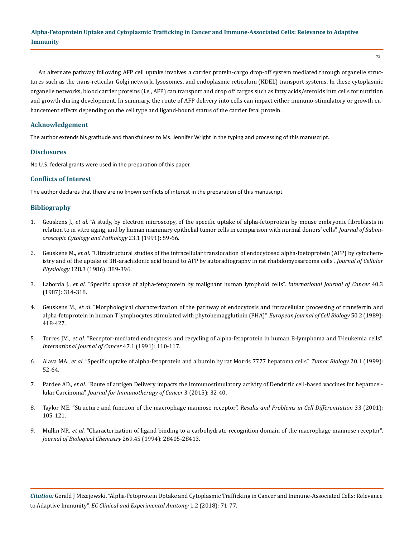75

An alternate pathway following AFP cell uptake involves a carrier protein-cargo drop-off system mediated through organelle structures such as the trans-reticular Golgi network, lysosomes, and endoplasmic reticulum (KDEL) transport systems. In these cytoplasmic organelle networks, blood carrier proteins (i.e., AFP) can transport and drop off cargos such as fatty acids/steroids into cells for nutrition and growth during development. In summary, the route of AFP delivery into cells can impact either immuno-stimulatory or growth enhancement effects depending on the cell type and ligand-bound status of the carrier fetal protein.

# **Acknowledgement**

The author extends his gratitude and thankfulness to Ms. Jennifer Wright in the typing and processing of this manuscript.

## **Disclosures**

No U.S. federal grants were used in the preparation of this paper.

## **Conflicts of Interest**

The author declares that there are no known conflicts of interest in the preparation of this manuscript.

# **Bibliography**

- 1. Geuskens J., *et al*[. "A study, by electron microscopy, of the specific uptake of alpha-fetoprotein by mouse embryonic fibroblasts in](https://www.ncbi.nlm.nih.gov/pubmed/1709818)  [relation to in vitro aging, and by human mammary epithelial tumor cells in comparison with normal donors' cells".](https://www.ncbi.nlm.nih.gov/pubmed/1709818) *Journal of Submi[croscopic Cytology and Pathology](https://www.ncbi.nlm.nih.gov/pubmed/1709818)* 23.1 (1991): 59-66.
- 2. Geuskens M., *et al*[. "Ultrastructural studies of the intracellular translocation of endocytosed alpha-foetoprotein \(AFP\) by cytochem](https://www.ncbi.nlm.nih.gov/pubmed/2427529)[istry and of the uptake of 3H-arachidonic acid bound to AFP by autoradiography in rat rhabdomyosarcoma cells".](https://www.ncbi.nlm.nih.gov/pubmed/2427529) *Journal of Cellular Physiology* [128.3 \(1986\): 389-396.](https://www.ncbi.nlm.nih.gov/pubmed/2427529)
- 3. Laborda J., *et al*[. "Specific uptake of alpha-fetoprotein by malignant human lymphoid cells".](https://www.ncbi.nlm.nih.gov/pubmed/2442104) *International Journal of Cancer* 40.3 [\(1987\): 314-318.](https://www.ncbi.nlm.nih.gov/pubmed/2442104)
- 4. Geuskens M., *et al*[. "Morphological characterization of the pathway of endocytosis and intracellular processing of transferrin and](https://www.ncbi.nlm.nih.gov/pubmed/2483377)  [alpha-fetoprotein in human T lymphocytes stimulated with phytohemagglutinin \(PHA\)".](https://www.ncbi.nlm.nih.gov/pubmed/2483377) *European Journal of Cell Biology* 50.2 (1989): [418-427.](https://www.ncbi.nlm.nih.gov/pubmed/2483377)
- 5. Torres JM., *et al*[. "Receptor-mediated endocytosis and recycling of alpha-fetoprotein in human B-lymphoma and T-leukemia cells".](https://www.ncbi.nlm.nih.gov/pubmed/1702404)  *[International Journal of Cancer](https://www.ncbi.nlm.nih.gov/pubmed/1702404)* 47.1 (1991): 110-117.
- 6. Alava MA., *et al*[. "Specific uptake of alpha-fetoprotein and albumin by rat Morris 7777 hepatoma cells".](https://www.ncbi.nlm.nih.gov/pubmed/9858875) *Tumor Biology* 20.1 (1999): [52-64.](https://www.ncbi.nlm.nih.gov/pubmed/9858875)
- 7. Pardee AD., *et al*[. "Route of antigen Delivery impacts the Immunostimulatory activity of Dendritic cell-based vaccines for hepatocel](https://www.ncbi.nlm.nih.gov/pubmed/26199728)lular Carcinoma". *[Journal for Immunotherapy of Cancer](https://www.ncbi.nlm.nih.gov/pubmed/26199728)* 3 (2015): 32-40.
- 8. [Taylor ME. "Structure and function of the macrophage mannose receptor".](https://link.springer.com/chapter/10.1007/978-3-540-46410-5_6) *Results and Problems in Cell Differentiation* 33 (2001): [105-121.](https://link.springer.com/chapter/10.1007/978-3-540-46410-5_6)
- 9. Mullin NP., *et al*[. "Characterization of ligand binding to a carbohydrate-recognition domain of the macrophage mannose receptor".](https://www.ncbi.nlm.nih.gov/pubmed/7961781)  *[Journal of Biological Chemistry](https://www.ncbi.nlm.nih.gov/pubmed/7961781)* 269.45 (1994): 28405-28413.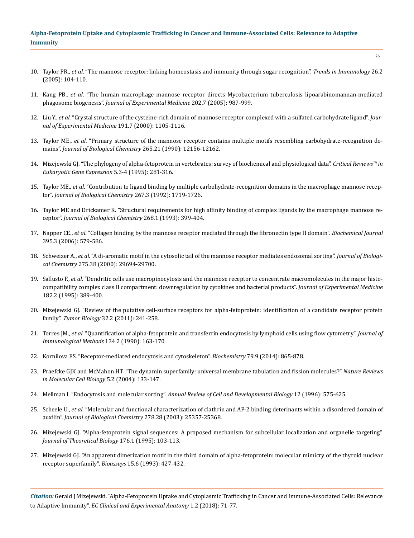- 10. Taylor PR., *et al*[. "The mannose receptor: linking homeostasis and immunity through sugar recognition".](https://www.ncbi.nlm.nih.gov/pubmed/15668126) *Trends in Immunology* 26.2 [\(2005\): 104-110.](https://www.ncbi.nlm.nih.gov/pubmed/15668126)
- 11. Kang PB., *et al*[. "The human macrophage mannose receptor directs Mycobacterium tuberculosis lipoarabinomannan-mediated](https://www.ncbi.nlm.nih.gov/pubmed/16203868) phagosome biogenesis". *[Journal of Experimental Medicine](https://www.ncbi.nlm.nih.gov/pubmed/16203868)* 202.7 (2005): 987-999.
- 12. Liu Y., *et al*[. "Crystal structure of the cysteine-rich domain of mannose receptor complexed with a sulfated carbohydrate ligand".](https://www.ncbi.nlm.nih.gov/pubmed/10748229) *Jour[nal of Experimental Medicine](https://www.ncbi.nlm.nih.gov/pubmed/10748229)* 191.7 (2000): 1105-1116.
- 13. Taylor ME., *et al*[. "Primary structure of the mannose receptor contains multiple motifs resembling carbohydrate-recognition do](https://www.ncbi.nlm.nih.gov/pubmed/2373685)mains". *[Journal of Biological Chemistry](https://www.ncbi.nlm.nih.gov/pubmed/2373685)* 265.21 (1990): 12156-12162.
- 14. [Mizejewski GJ. "The phylogeny of alpha-fetoprotein in vertebrates: survey of biochemical and physiological data".](https://www.ncbi.nlm.nih.gov/pubmed/8834228) *Critical Reviews™ in [Eukaryotic Gene Expression](https://www.ncbi.nlm.nih.gov/pubmed/8834228)* 5.3-4 (1995): 281-316.
- 15. Taylor ME., *et al*[. "Contribution to ligand binding by multiple carbohydrate-recognition domains in the macrophage mannose recep](https://www.ncbi.nlm.nih.gov/pubmed/1730714)tor". *[Journal of Biological Chemistry](https://www.ncbi.nlm.nih.gov/pubmed/1730714)* 267.3 (1992): 1719-1726.
- 16. [Taylor ME and Drickamer K. "Structural requirements for high affinity binding of complex ligands by the macrophage mannose re](https://www.ncbi.nlm.nih.gov/pubmed/8416946)ceptor". *[Journal of Biological Chemistry](https://www.ncbi.nlm.nih.gov/pubmed/8416946)* 268.1 (1993): 399-404.
- 17. Napper CE., *et al*[. "Collagen binding by the mannose receptor mediated through the fibronectin type II domain".](https://www.ncbi.nlm.nih.gov/pubmed/16441238) *Biochemical Journal*  [395.3 \(2006\): 579-586.](https://www.ncbi.nlm.nih.gov/pubmed/16441238)
- 18. Schweizer A., *et al*[. "A di-aromatic motif in the cytosolic tail of the mannose receptor mediates endosomal sorting".](https://www.ncbi.nlm.nih.gov/pubmed/10896932) *Journal of Biological Chemistry* [275.38 \(2000\): 29694-29700.](https://www.ncbi.nlm.nih.gov/pubmed/10896932)
- 19. Sallusto F., *et al*[. "Dendritic cells use macropinocytosis and the mannose receptor to concentrate macromolecules in the major histo](https://www.ncbi.nlm.nih.gov/pubmed/7629501)[compatibility complex class II compartment: downregulation by cytokines and bacterial products".](https://www.ncbi.nlm.nih.gov/pubmed/7629501) *Journal of Experimental Medicine*  [182.2 \(1995\): 389-400.](https://www.ncbi.nlm.nih.gov/pubmed/7629501)
- 20. [Mizejewski GJ. "Review of the putative cell-surface receptors for alpha-fetoprotein: identification of a candidate receptor protein](https://www.ncbi.nlm.nih.gov/pubmed/21120646) family". *Tumor Biology* [32.2 \(2011\): 241-258.](https://www.ncbi.nlm.nih.gov/pubmed/21120646)
- 21. Torres JM., *et al*[. "Quantification of alpha-fetoprotein and transferrin endocytosis by lymphoid cells using flow cytometry".](https://www.ncbi.nlm.nih.gov/pubmed/1701468) *Journal of [Immunological Methods](https://www.ncbi.nlm.nih.gov/pubmed/1701468)* 134.2 (1990): 163-170.
- 22. [Kornilova ES. "Receptor-mediated endocytosis and cytoskeleton".](https://www.ncbi.nlm.nih.gov/pubmed/25385015) *Biochemistry* 79.9 (2014): 865-878.
- 23. [Praefcke GJK and McMahon HT. "The dynamin superfamily: universal membrane tabulation and fission molecules?"](https://www.ncbi.nlm.nih.gov/pubmed/15040446) *Nature Reviews [in Molecular Cell Biology](https://www.ncbi.nlm.nih.gov/pubmed/15040446)* 5.2 (2004): 133-147.
- 24. Mellman I. "Endocytosis and molecular sorting". *[Annual Review of Cell and Developmental Biology](https://www.ncbi.nlm.nih.gov/pubmed/8970738)* 12 (1996): 575-625.
- 25. Scheele U., *et al*[. "Molecular and functional characterization of clathrin and AP-2 binding deterinants within a disordered domain of](https://www.ncbi.nlm.nih.gov/pubmed/12732633) auxilin". *[Journal of Biological Chemistry](https://www.ncbi.nlm.nih.gov/pubmed/12732633)* 278.28 (2003): 25357-25368.
- 26. [Mizejewski GJ. "Alpha-fetoprotein signal sequences: A proposed mechanism for subcellular localization and organelle targeting".](https://www.ncbi.nlm.nih.gov/pubmed/7475095) *[Journal of Theoretical Biology](https://www.ncbi.nlm.nih.gov/pubmed/7475095)* 176.1 (1995): 103-113.
- 27. [Mizejewski GJ. "An apparent dimerization motif in the third domain of alpha-fetoprotein: molecular mimicry of the thyroid nuclear](https://www.ncbi.nlm.nih.gov/pubmed/7689318) [receptor superfamily".](https://www.ncbi.nlm.nih.gov/pubmed/7689318) *Bioassays* 15.6 (1993): 427-432.

*Citation:* Gerald J Mizejewski. "Alpha-Fetoprotein Uptake and Cytoplasmic Trafficking in Cancer and Immune-Associated Cells: Relevance to Adaptive Immunity". *EC Clinical and Experimental Anatomy* 1.2 (2018): 71-77.

76